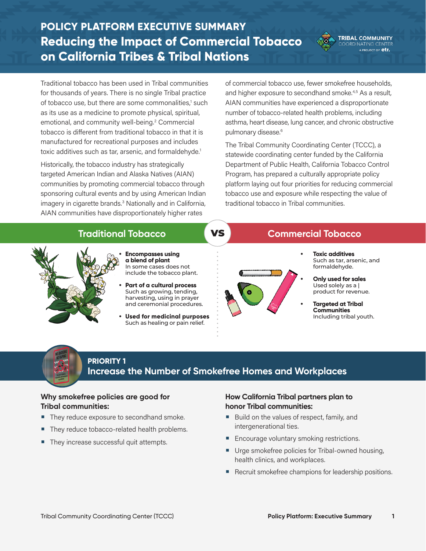# **POLICY PLATFORM EXECUTIVE SUMMARY Reducing the Impact of Commercial Tobacco on California Tribes & Tribal Nations**



**TRIBAL COMMUNITY** RDINATING CENTER

Traditional tobacco has been used in Tribal communities for thousands of years. There is no single Tribal practice of tobacco use, but there are some commonalities,<sup>1</sup> such as its use as a medicine to promote physical, spiritual, emotional, and community well-being.<sup>2</sup> Commercial tobacco is different from traditional tobacco in that it is manufactured for recreational purposes and includes toxic additives such as tar, arsenic, and formaldehyde.<sup>1</sup>

Historically, the tobacco industry has strategically targeted American Indian and Alaska Natives (AIAN) communities by promoting commercial tobacco through sponsoring cultural events and by using American Indian imagery in cigarette brands.<sup>3</sup> Nationally and in California, AIAN communities have disproportionately higher rates

of commercial tobacco use, fewer smokefree households, and higher exposure to secondhand smoke.<sup>4,5</sup> As a result, AIAN communities have experienced a disproportionate number of tobacco-related health problems, including asthma, heart disease, lung cancer, and chronic obstructive pulmonary disease.<sup>6</sup>

The Tribal Community Coordinating Center (TCCC), a statewide coordinating center funded by the California Department of Public Health, California Tobacco Control Program, has prepared a culturally appropriate policy platform laying out four priorities for reducing commercial tobacco use and exposure while respecting the value of traditional tobacco in Tribal communities.



## **PRIORITY 1 Increase the Number of Smokefree Homes and Workplaces**

## **Why smokefree policies are good for Tribal communities:**

- They reduce exposure to secondhand smoke.
- They reduce tobacco-related health problems.
- They increase successful quit attempts.

### **How California Tribal partners plan to honor Tribal communities:**

- Build on the values of respect, family, and intergenerational ties.
- Encourage voluntary smoking restrictions.
- Urge smokefree policies for Tribal-owned housing, health clinics, and workplaces.
- Recruit smokefree champions for leadership positions.